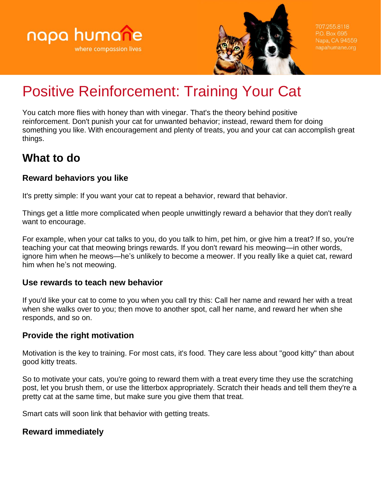



707.255.8118 P.O. Box 695

# Positive Reinforcement: Training Your Cat

You catch more flies with honey than with vinegar. That's the theory behind positive reinforcement. Don't punish your cat for unwanted behavior; instead, reward them for doing something you like. With encouragement and plenty of treats, you and your cat can accomplish great things.

# **What to do**

# **Reward behaviors you like**

It's pretty simple: If you want your cat to repeat a behavior, reward that behavior.

Things get a little more complicated when people unwittingly reward a behavior that they don't really want to encourage.

For example, when your cat talks to you, do you talk to him, pet him, or give him a treat? If so, you're teaching your cat that meowing brings rewards. If you don't reward his meowing—in other words, ignore him when he meows—he's unlikely to become a meower. If you really like a quiet cat, reward him when he's not meowing.

# **Use rewards to teach new behavior**

If you'd like your cat to come to you when you call try this: Call her name and reward her with a treat when she walks over to you; then move to another spot, call her name, and reward her when she responds, and so on.

# **Provide the right motivation**

Motivation is the key to training. For most cats, it's food. They care less about "good kitty" than about good kitty treats.

So to motivate your cats, you're going to reward them with a treat every time they use the scratching post, let you brush them, or use the litterbox appropriately. Scratch their heads and tell them they're a pretty cat at the same time, but make sure you give them that treat.

Smart cats will soon link that behavior with getting treats.

# **Reward immediately**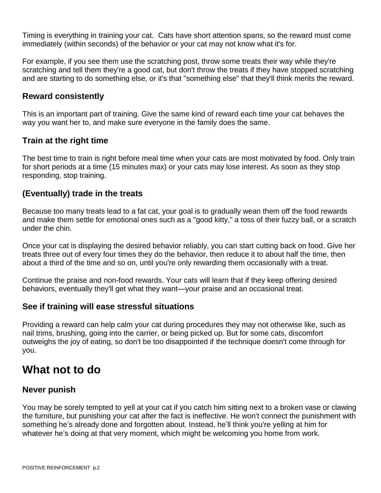Timing is everything in training your cat. Cats have short attention spans, so the reward must come immediately (within seconds) of the behavior or your cat may not know what it's for.

For example, if you see them use the scratching post, throw some treats their way while they're scratching and tell them they're a good cat, but don't throw the treats if they have stopped scratching and are starting to do something else, or it's that "something else" that they'll think merits the reward.

#### **Reward consistently**

This is an important part of training. Give the same kind of reward each time your cat behaves the way you want her to, and make sure everyone in the family does the same.

#### **Train at the right time**

The best time to train is right before meal time when your cats are most motivated by food. Only train for short periods at a time (15 minutes max) or your cats may lose interest. As soon as they stop responding, stop training.

#### **(Eventually) trade in the treats**

Because too many treats lead to a fat cat, your goal is to gradually wean them off the food rewards and make them settle for emotional ones such as a "good kitty," a toss of their fuzzy ball, or a scratch under the chin.

Once your cat is displaying the desired behavior reliably, you can start cutting back on food. Give her treats three out of every four times they do the behavior, then reduce it to about half the time, then about a third of the time and so on, until you're only rewarding them occasionally with a treat.

Continue the praise and non-food rewards. Your cats will learn that if they keep offering desired behaviors, eventually they'll get what they want—your praise and an occasional treat.

#### **See if training will ease stressful situations**

Providing a reward can help calm your cat during procedures they may not otherwise like, such as nail trims, brushing, going into the carrier, or being picked up. But for some cats, discomfort outweighs the joy of eating, so don't be too disappointed if the technique doesn't come through for you.

# **What not to do**

# **Never punish**

You may be sorely tempted to yell at your cat if you catch him sitting next to a broken vase or clawing the furniture, but punishing your cat after the fact is ineffective. He won't connect the punishment with something he's already done and forgotten about. Instead, he'll think you're yelling at him for whatever he's doing at that very moment, which might be welcoming you home from work.